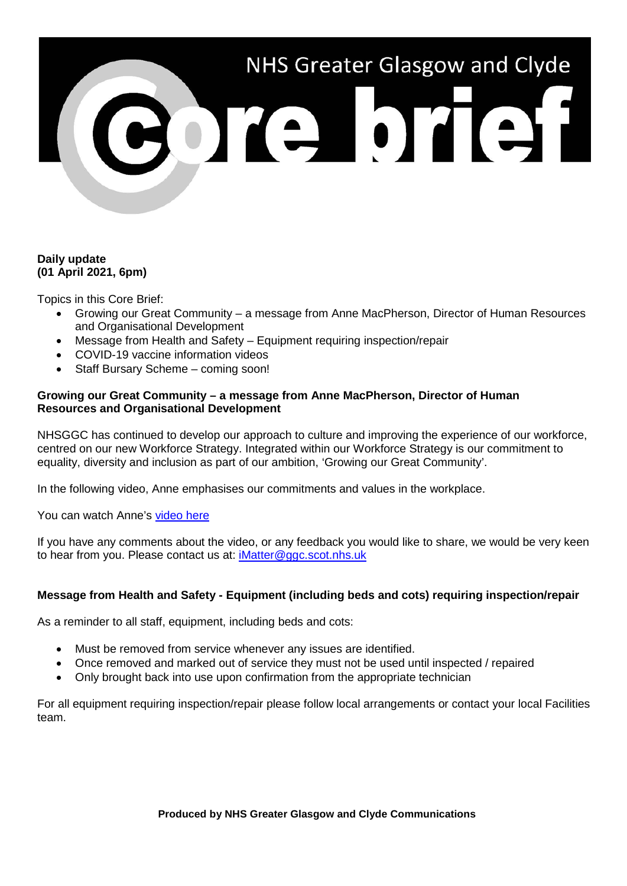# NHS Greater Glasgow and Clyde

# **Daily update (01 April 2021, 6pm)**

Topics in this Core Brief:

- Growing our Great Community a message from Anne MacPherson, Director of Human Resources and Organisational Development
- Message from Health and Safety Equipment requiring inspection/repair
- COVID-19 vaccine information videos
- Staff Bursary Scheme coming soon!

## **Growing our Great Community – a message from Anne MacPherson, Director of Human Resources and Organisational Development**

NHSGGC has continued to develop our approach to culture and improving the experience of our workforce, centred on our new Workforce Strategy. Integrated within our Workforce Strategy is our commitment to equality, diversity and inclusion as part of our ambition, 'Growing our Great Community'.

In the following video, Anne emphasises our commitments and values in the workplace.

You can watch Anne's [video here](https://www.youtube.com/watch?v=5wUh3BzECps)

If you have any comments about the video, or any feedback you would like to share, we would be very keen to hear from you. Please contact us at: [iMatter@ggc.scot.nhs.uk](mailto:iMatter@ggc.scot.nhs.uk)

## **Message from Health and Safety - Equipment (including beds and cots) requiring inspection/repair**

As a reminder to all staff, equipment, including beds and cots:

- Must be removed from service whenever any issues are identified.
- Once removed and marked out of service they must not be used until inspected / repaired
- Only brought back into use upon confirmation from the appropriate technician

For all equipment requiring inspection/repair please follow local arrangements or contact your local Facilities team.